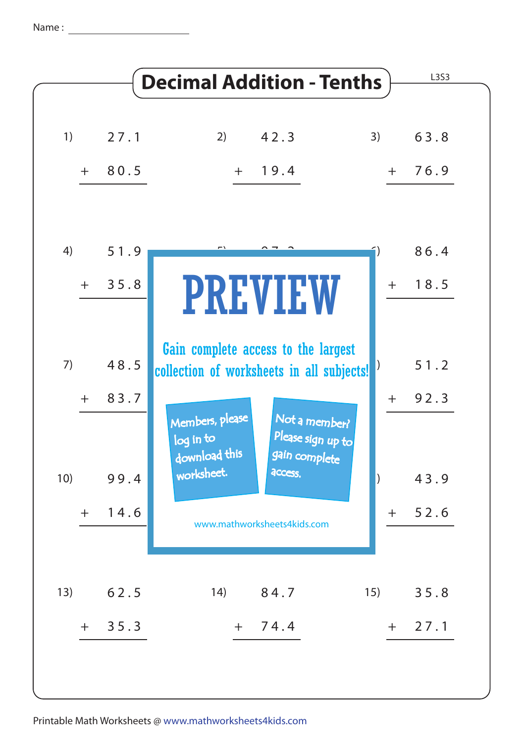